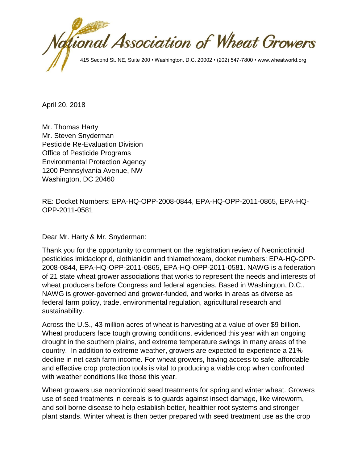

April 20, 2018

Mr. Thomas Harty Mr. Steven Snyderman Pesticide Re-Evaluation Division Office of Pesticide Programs Environmental Protection Agency 1200 Pennsylvania Avenue, NW Washington, DC 20460

RE: Docket Numbers: EPA-HQ-OPP-2008-0844, EPA-HQ-OPP-2011-0865, EPA-HQ-OPP-2011-0581

Dear Mr. Harty & Mr. Snyderman:

Thank you for the opportunity to comment on the registration review of Neonicotinoid pesticides imidacloprid, clothianidin and thiamethoxam, docket numbers: EPA-HQ-OPP-2008-0844, EPA-HQ-OPP-2011-0865, EPA-HQ-OPP-2011-0581. NAWG is a federation of 21 state wheat grower associations that works to represent the needs and interests of wheat producers before Congress and federal agencies. Based in Washington, D.C., NAWG is grower-governed and grower-funded, and works in areas as diverse as federal farm policy, trade, environmental regulation, agricultural research and sustainability.

Across the U.S., 43 million acres of wheat is harvesting at a value of over \$9 billion. Wheat producers face tough growing conditions, evidenced this year with an ongoing drought in the southern plains, and extreme temperature swings in many areas of the country. In addition to extreme weather, growers are expected to experience a 21% decline in net cash farm income. For wheat growers, having access to safe, affordable and effective crop protection tools is vital to producing a viable crop when confronted with weather conditions like those this year.

Wheat growers use neonicotinoid seed treatments for spring and winter wheat. Growers use of seed treatments in cereals is to guards against insect damage, like wireworm, and soil borne disease to help establish better, healthier root systems and stronger plant stands. Winter wheat is then better prepared with seed treatment use as the crop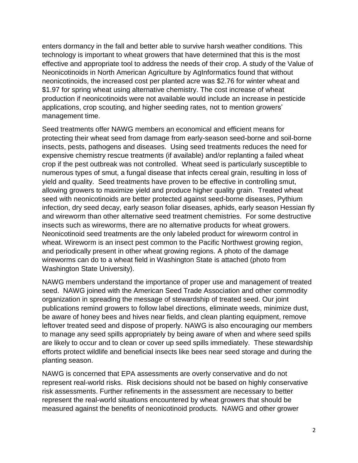enters dormancy in the fall and better able to survive harsh weather conditions. This technology is important to wheat growers that have determined that this is the most effective and appropriate tool to address the needs of their crop. A study of the Value of Neonicotinoids in North American Agriculture by AgInformatics found that without neonicotinoids, the increased cost per planted acre was \$2.76 for winter wheat and \$1.97 for spring wheat using alternative chemistry. The cost increase of wheat production if neonicotinoids were not available would include an increase in pesticide applications, crop scouting, and higher seeding rates, not to mention growers' management time.

Seed treatments offer NAWG members an economical and efficient means for protecting their wheat seed from damage from early-season seed-borne and soil-borne insects, pests, pathogens and diseases. Using seed treatments reduces the need for expensive chemistry rescue treatments (if available) and/or replanting a failed wheat crop if the pest outbreak was not controlled. Wheat seed is particularly susceptible to numerous types of smut, a fungal disease that infects cereal grain, resulting in loss of yield and quality. Seed treatments have proven to be effective in controlling smut, allowing growers to maximize yield and produce higher quality grain. Treated wheat seed with neonicotinoids are better protected against seed-borne diseases, Pythium infection, dry seed decay, early season foliar diseases, aphids, early season Hessian fly and wireworm than other alternative seed treatment chemistries. For some destructive insects such as wireworms, there are no alternative products for wheat growers. Neonicotinoid seed treatments are the only labeled product for wireworm control in wheat. Wireworm is an insect pest common to the Pacific Northwest growing region, and periodically present in other wheat growing regions. A photo of the damage wireworms can do to a wheat field in Washington State is attached (photo from Washington State University).

NAWG members understand the importance of proper use and management of treated seed. NAWG joined with the American Seed Trade Association and other commodity organization in spreading the message of stewardship of treated seed. Our joint publications remind growers to follow label directions, eliminate weeds, minimize dust, be aware of honey bees and hives near fields, and clean planting equipment, remove leftover treated seed and dispose of properly. NAWG is also encouraging our members to manage any seed spills appropriately by being aware of when and where seed spills are likely to occur and to clean or cover up seed spills immediately. These stewardship efforts protect wildlife and beneficial insects like bees near seed storage and during the planting season.

NAWG is concerned that EPA assessments are overly conservative and do not represent real-world risks. Risk decisions should not be based on highly conservative risk assessments. Further refinements in the assessment are necessary to better represent the real-world situations encountered by wheat growers that should be measured against the benefits of neonicotinoid products. NAWG and other grower